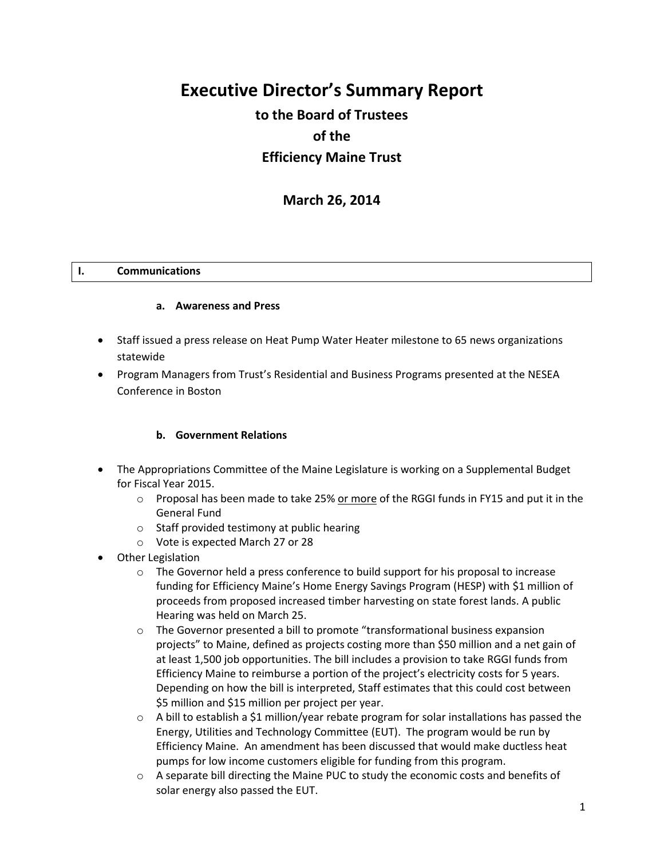# **Executive Director's Summary Report**

## **to the Board of Trustees of the Efficiency Maine Trust**

**March 26, 2014**

## **I. Communications**

#### **a. Awareness and Press**

- Staff issued a press release on Heat Pump Water Heater milestone to 65 news organizations statewide
- Program Managers from Trust's Residential and Business Programs presented at the NESEA Conference in Boston

#### **b. Government Relations**

- The Appropriations Committee of the Maine Legislature is working on a Supplemental Budget for Fiscal Year 2015.
	- $\circ$  Proposal has been made to take 25% or more of the RGGI funds in FY15 and put it in the General Fund
	- o Staff provided testimony at public hearing
	- o Vote is expected March 27 or 28
- Other Legislation
	- $\circ$  The Governor held a press conference to build support for his proposal to increase funding for Efficiency Maine's Home Energy Savings Program (HESP) with \$1 million of proceeds from proposed increased timber harvesting on state forest lands. A public Hearing was held on March 25.
	- $\circ$  The Governor presented a bill to promote "transformational business expansion projects" to Maine, defined as projects costing more than \$50 million and a net gain of at least 1,500 job opportunities. The bill includes a provision to take RGGI funds from Efficiency Maine to reimburse a portion of the project's electricity costs for 5 years. Depending on how the bill is interpreted, Staff estimates that this could cost between \$5 million and \$15 million per project per year.
	- $\circ$  A bill to establish a \$1 million/year rebate program for solar installations has passed the Energy, Utilities and Technology Committee (EUT). The program would be run by Efficiency Maine. An amendment has been discussed that would make ductless heat pumps for low income customers eligible for funding from this program.
	- $\circ$  A separate bill directing the Maine PUC to study the economic costs and benefits of solar energy also passed the EUT.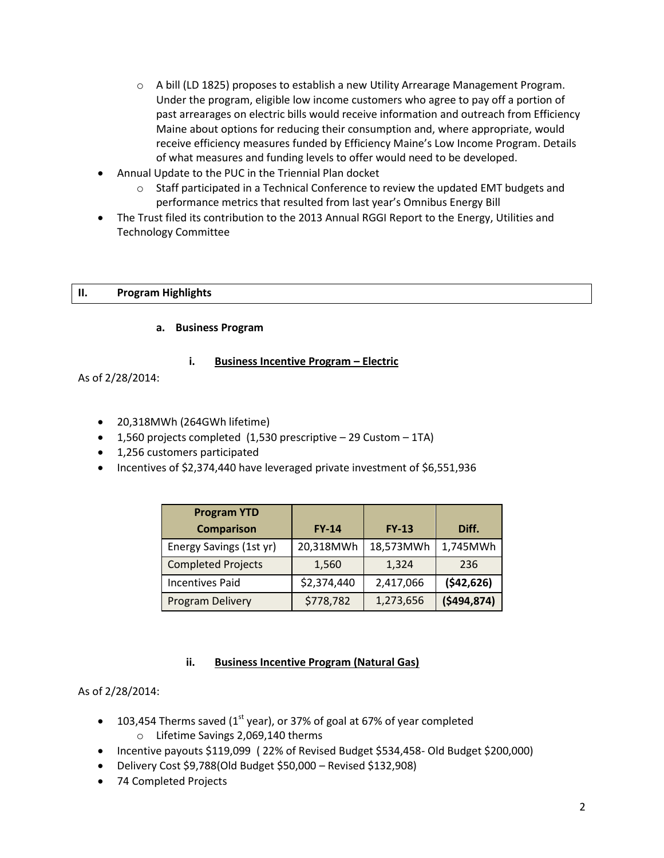- $\circ$  A bill (LD 1825) proposes to establish a new Utility Arrearage Management Program. Under the program, eligible low income customers who agree to pay off a portion of past arrearages on electric bills would receive information and outreach from Efficiency Maine about options for reducing their consumption and, where appropriate, would receive efficiency measures funded by Efficiency Maine's Low Income Program. Details of what measures and funding levels to offer would need to be developed.
- Annual Update to the PUC in the Triennial Plan docket
	- $\circ$  Staff participated in a Technical Conference to review the updated EMT budgets and performance metrics that resulted from last year's Omnibus Energy Bill
- The Trust filed its contribution to the 2013 Annual RGGI Report to the Energy, Utilities and Technology Committee

## **II. Program Highlights**

## **a. Business Program**

## **i. Business Incentive Program – Electric**

As of 2/28/2014:

- 20,318MWh (264GWh lifetime)
- $\bullet$  1,560 projects completed (1,530 prescriptive  $-$  29 Custom  $-$  1TA)
- 1,256 customers participated
- Incentives of \$2,374,440 have leveraged private investment of \$6,551,936

| <b>Program YTD</b>        |              |              |             |
|---------------------------|--------------|--------------|-------------|
| <b>Comparison</b>         | <b>FY-14</b> | <b>FY-13</b> | Diff.       |
| Energy Savings (1st yr)   | 20,318MWh    | 18,573MWh    | 1,745MWh    |
| <b>Completed Projects</b> | 1,560        | 1,324        | 236         |
| <b>Incentives Paid</b>    | \$2,374,440  | 2,417,066    | (542, 626)  |
| Program Delivery          | \$778,782    | 1,273,656    | (5494, 874) |

#### **ii. Business Incentive Program (Natural Gas)**

#### As of 2/28/2014:

- $\bullet$  103,454 Therms saved (1<sup>st</sup> year), or 37% of goal at 67% of year completed
	- o Lifetime Savings 2,069,140 therms
- Incentive payouts \$119,099 ( 22% of Revised Budget \$534,458- Old Budget \$200,000)
- Delivery Cost \$9,788(Old Budget \$50,000 Revised \$132,908)
- 74 Completed Projects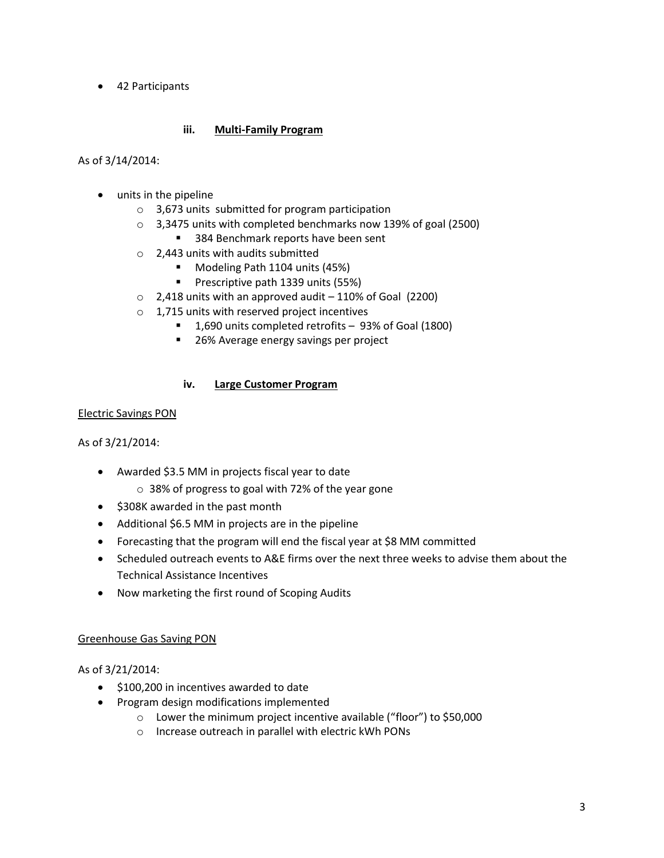42 Participants

## **iii. Multi-Family Program**

As of 3/14/2014:

- units in the pipeline
	- o 3,673 units submitted for program participation
	- o 3,3475 units with completed benchmarks now 139% of goal (2500)
		- 384 Benchmark reports have been sent
	- o 2,443 units with audits submitted
		- Modeling Path 1104 units (45%)
		- Prescriptive path 1339 units (55%)
	- $\circ$  2,418 units with an approved audit 110% of Goal (2200)
	- o 1,715 units with reserved project incentives
		- 1,690 units completed retrofits 93% of Goal (1800)
		- **26% Average energy savings per project**

#### **iv. Large Customer Program**

#### Electric Savings PON

As of 3/21/2014:

- Awarded \$3.5 MM in projects fiscal year to date
	- o 38% of progress to goal with 72% of the year gone
- \$308K awarded in the past month
- Additional \$6.5 MM in projects are in the pipeline
- Forecasting that the program will end the fiscal year at \$8 MM committed
- Scheduled outreach events to A&E firms over the next three weeks to advise them about the Technical Assistance Incentives
- Now marketing the first round of Scoping Audits

#### Greenhouse Gas Saving PON

#### As of 3/21/2014:

- $\bullet$  \$100,200 in incentives awarded to date
- Program design modifications implemented
	- o Lower the minimum project incentive available ("floor") to \$50,000
	- o Increase outreach in parallel with electric kWh PONs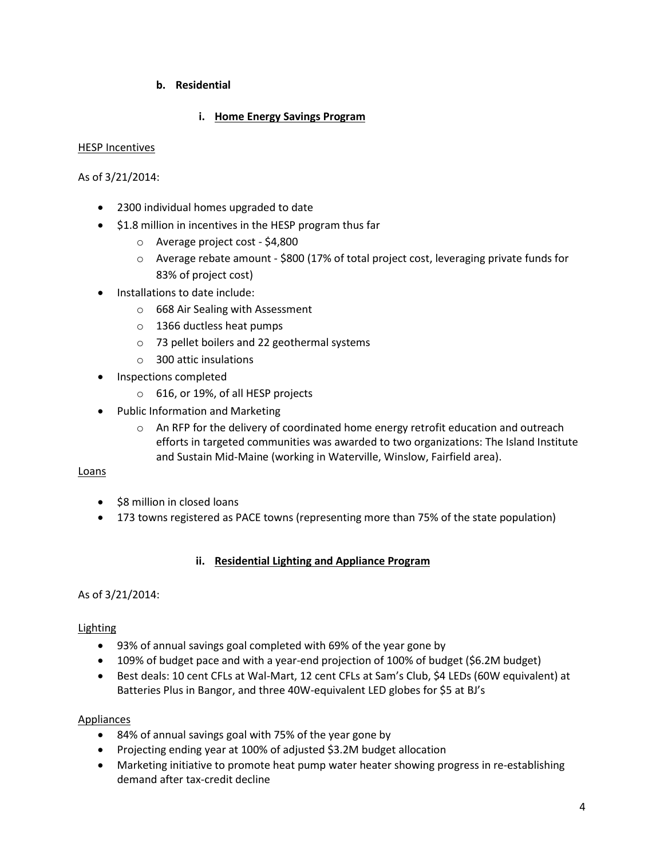## **b. Residential**

## **i. Home Energy Savings Program**

#### HESP Incentives

#### As of 3/21/2014:

- 2300 individual homes upgraded to date
- $\bullet$  \$1.8 million in incentives in the HESP program thus far
	- o Average project cost \$4,800
	- o Average rebate amount \$800 (17% of total project cost, leveraging private funds for 83% of project cost)
- Installations to date include:
	- o 668 Air Sealing with Assessment
	- o 1366 ductless heat pumps
	- o 73 pellet boilers and 22 geothermal systems
	- o 300 attic insulations
- Inspections completed
	- o 616, or 19%, of all HESP projects
- Public Information and Marketing
	- $\circ$  An RFP for the delivery of coordinated home energy retrofit education and outreach efforts in targeted communities was awarded to two organizations: The Island Institute and Sustain Mid-Maine (working in Waterville, Winslow, Fairfield area).

#### Loans

- \$8 million in closed loans
- 173 towns registered as PACE towns (representing more than 75% of the state population)

#### **ii. Residential Lighting and Appliance Program**

#### As of 3/21/2014:

#### Lighting

- 93% of annual savings goal completed with 69% of the year gone by
- 109% of budget pace and with a year-end projection of 100% of budget (\$6.2M budget)
- Best deals: 10 cent CFLs at Wal-Mart, 12 cent CFLs at Sam's Club, \$4 LEDs (60W equivalent) at Batteries Plus in Bangor, and three 40W-equivalent LED globes for \$5 at BJ's

#### Appliances

- 84% of annual savings goal with 75% of the year gone by
- Projecting ending year at 100% of adjusted \$3.2M budget allocation
- Marketing initiative to promote heat pump water heater showing progress in re-establishing demand after tax-credit decline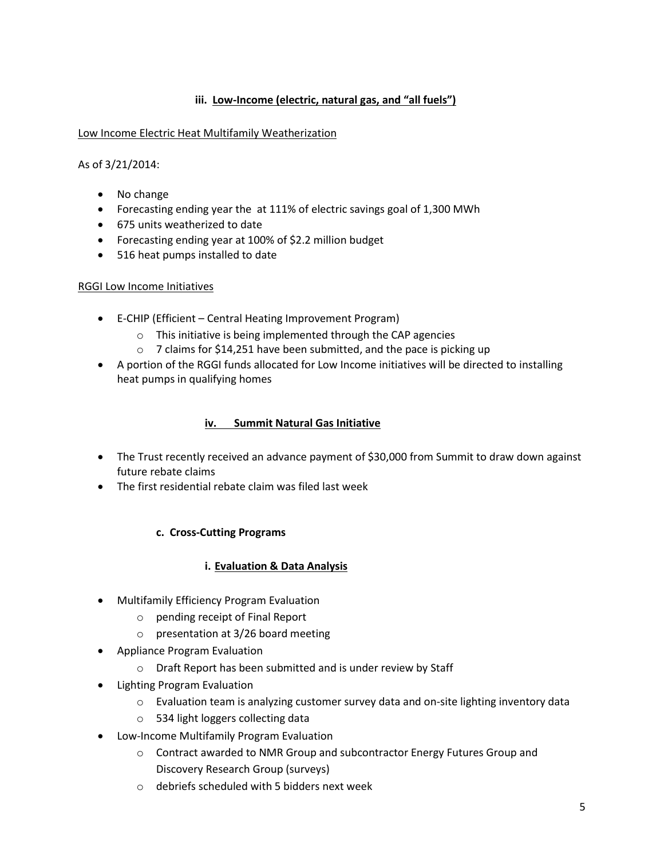## **iii. Low-Income (electric, natural gas, and "all fuels")**

#### Low Income Electric Heat Multifamily Weatherization

As of 3/21/2014:

- No change
- Forecasting ending year the at 111% of electric savings goal of 1,300 MWh
- 675 units weatherized to date
- Forecasting ending year at 100% of \$2.2 million budget
- 516 heat pumps installed to date

## RGGI Low Income Initiatives

- E-CHIP (Efficient Central Heating Improvement Program)
	- o This initiative is being implemented through the CAP agencies
	- o 7 claims for \$14,251 have been submitted, and the pace is picking up
- A portion of the RGGI funds allocated for Low Income initiatives will be directed to installing heat pumps in qualifying homes

## **iv. Summit Natural Gas Initiative**

- The Trust recently received an advance payment of \$30,000 from Summit to draw down against future rebate claims
- The first residential rebate claim was filed last week

## **c. Cross-Cutting Programs**

## **i. Evaluation & Data Analysis**

- Multifamily Efficiency Program Evaluation
	- o pending receipt of Final Report
	- o presentation at 3/26 board meeting
- Appliance Program Evaluation
	- o Draft Report has been submitted and is under review by Staff
- Lighting Program Evaluation
	- $\circ$  Evaluation team is analyzing customer survey data and on-site lighting inventory data
	- o 534 light loggers collecting data
- Low-Income Multifamily Program Evaluation
	- o Contract awarded to NMR Group and subcontractor Energy Futures Group and Discovery Research Group (surveys)
	- o debriefs scheduled with 5 bidders next week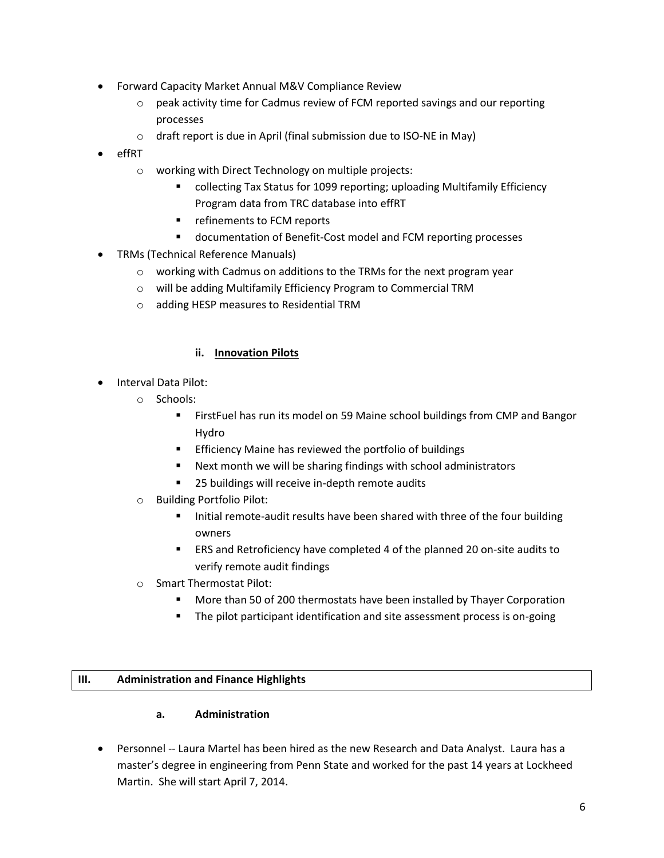- Forward Capacity Market Annual M&V Compliance Review
	- $\circ$  peak activity time for Cadmus review of FCM reported savings and our reporting processes
	- o draft report is due in April (final submission due to ISO-NE in May)
- effRT
	- o working with Direct Technology on multiple projects:
		- collecting Tax Status for 1099 reporting; uploading Multifamily Efficiency Program data from TRC database into effRT
		- refinements to FCM reports
		- documentation of Benefit-Cost model and FCM reporting processes
- TRMs (Technical Reference Manuals)
	- o working with Cadmus on additions to the TRMs for the next program year
	- o will be adding Multifamily Efficiency Program to Commercial TRM
	- o adding HESP measures to Residential TRM

## **ii. Innovation Pilots**

- Interval Data Pilot:
	- o Schools:
		- **FirstFuel has run its model on 59 Maine school buildings from CMP and Bangor** Hydro
		- Efficiency Maine has reviewed the portfolio of buildings
		- Next month we will be sharing findings with school administrators
		- 25 buildings will receive in-depth remote audits
	- o Building Portfolio Pilot:
		- Initial remote-audit results have been shared with three of the four building owners
		- ERS and Retroficiency have completed 4 of the planned 20 on-site audits to verify remote audit findings
	- o Smart Thermostat Pilot:
		- **More than 50 of 200 thermostats have been installed by Thayer Corporation**
		- The pilot participant identification and site assessment process is on-going

## **III. Administration and Finance Highlights**

## **a. Administration**

 Personnel -- Laura Martel has been hired as the new Research and Data Analyst. Laura has a master's degree in engineering from Penn State and worked for the past 14 years at Lockheed Martin. She will start April 7, 2014.